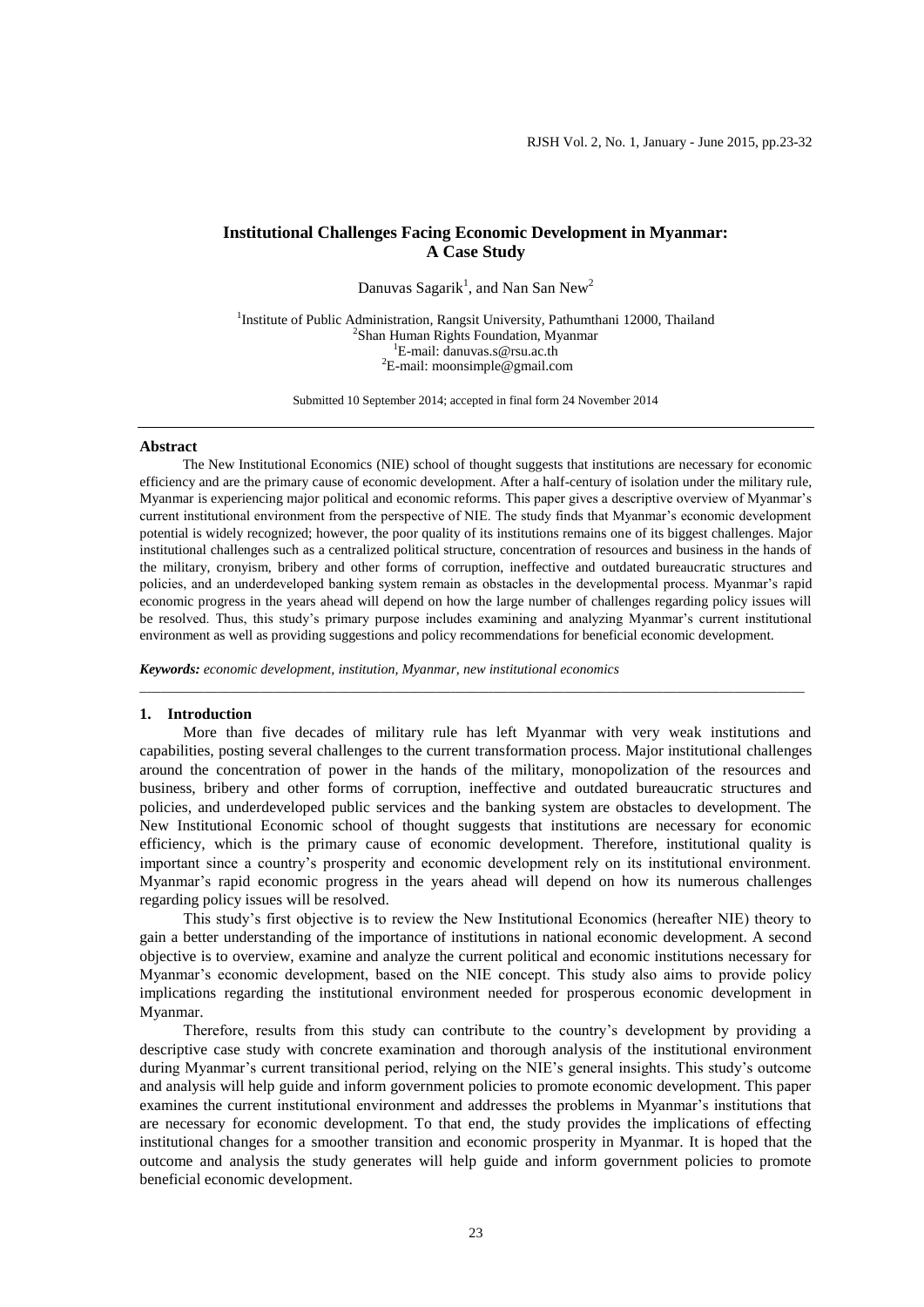# **Institutional Challenges Facing Economic Development in Myanmar: A Case Study**

Danuvas Sagarik<sup>1</sup>, and Nan San New<sup>2</sup>

<sup>1</sup>Institute of Public Administration, Rangsit University, Pathumthani 12000, Thailand 2 Shan Human Rights Foundation, Myanmar <sup>1</sup>E-mail: [danuvas.s@rsu.ac.th](mailto:danuvas.s@rsu.ac.th) <sup>2</sup>E-mail: moonsimple@gmail.com

Submitted 10 September 2014; accepted in final form 24 November 2014

### **Abstract**

The New Institutional Economics (NIE) school of thought suggests that institutions are necessary for economic efficiency and are the primary cause of economic development. After a half-century of isolation under the military rule, Myanmar is experiencing major political and economic reforms. This paper gives a descriptive overview of Myanmar's current institutional environment from the perspective of NIE. The study finds that Myanmar's economic development potential is widely recognized; however, the poor quality of its institutions remains one of its biggest challenges. Major institutional challenges such as a centralized political structure, concentration of resources and business in the hands of the military, cronyism, bribery and other forms of corruption, ineffective and outdated bureaucratic structures and policies, and an underdeveloped banking system remain as obstacles in the developmental process. Myanmar's rapid economic progress in the years ahead will depend on how the large number of challenges regarding policy issues will be resolved. Thus, this study's primary purpose includes examining and analyzing Myanmar's current institutional environment as well as providing suggestions and policy recommendations for beneficial economic development.

*Keywords: economic development, institution, Myanmar, new institutional economics*

### **1. Introduction**

More than five decades of military rule has left Myanmar with very weak institutions and capabilities, posting several challenges to the current transformation process. Major institutional challenges around the concentration of power in the hands of the military, monopolization of the resources and business, bribery and other forms of corruption, ineffective and outdated bureaucratic structures and policies, and underdeveloped public services and the banking system are obstacles to development. The New Institutional Economic school of thought suggests that institutions are necessary for economic efficiency, which is the primary cause of economic development. Therefore, institutional quality is important since a country's prosperity and economic development rely on its institutional environment. Myanmar's rapid economic progress in the years ahead will depend on how its numerous challenges regarding policy issues will be resolved.

\_\_\_\_\_\_\_\_\_\_\_\_\_\_\_\_\_\_\_\_\_\_\_\_\_\_\_\_\_\_\_\_\_\_\_\_\_\_\_\_\_\_\_\_\_\_\_\_\_\_\_\_\_\_\_\_\_\_\_\_\_\_\_\_\_\_\_\_\_\_\_\_\_\_\_\_\_\_\_\_\_\_\_\_\_\_\_\_\_\_\_\_\_\_

This study's first objective is to review the New Institutional Economics (hereafter NIE) theory to gain a better understanding of the importance of institutions in national economic development. A second objective is to overview, examine and analyze the current political and economic institutions necessary for Myanmar's economic development, based on the NIE concept. This study also aims to provide policy implications regarding the institutional environment needed for prosperous economic development in Myanmar.

Therefore, results from this study can contribute to the country's development by providing a descriptive case study with concrete examination and thorough analysis of the institutional environment during Myanmar's current transitional period, relying on the NIE's general insights. This study's outcome and analysis will help guide and inform government policies to promote economic development. This paper examines the current institutional environment and addresses the problems in Myanmar's institutions that are necessary for economic development. To that end, the study provides the implications of effecting institutional changes for a smoother transition and economic prosperity in Myanmar. It is hoped that the outcome and analysis the study generates will help guide and inform government policies to promote beneficial economic development.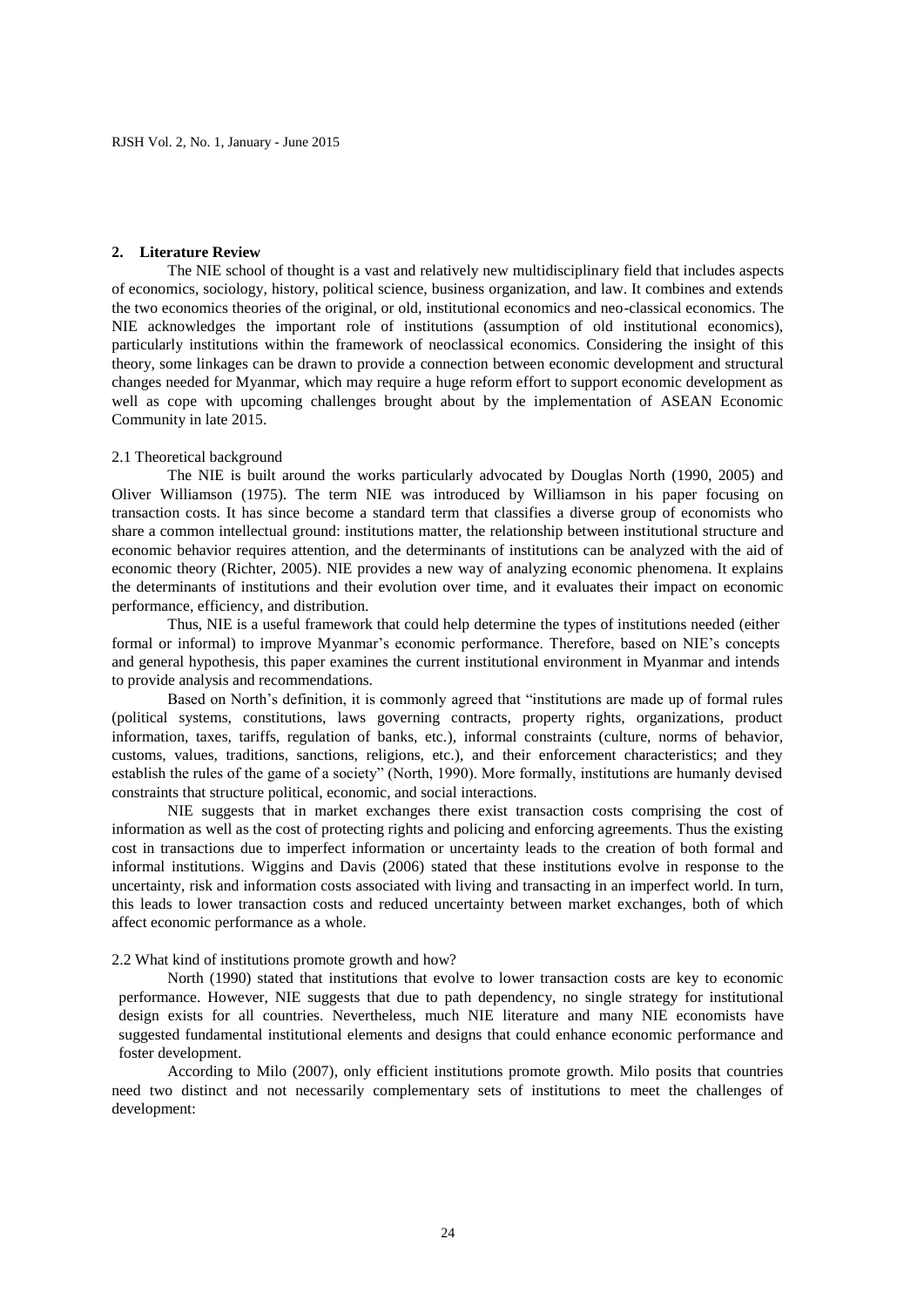### **2. Literature Review**

The NIE school of thought is a vast and relatively new multidisciplinary field that includes aspects of economics, sociology, history, political science, business organization, and law. It combines and extends the two economics theories of the original, or old, institutional economics and neo-classical economics. The NIE acknowledges the important role of institutions (assumption of old institutional economics), particularly institutions within the framework of neoclassical economics. Considering the insight of this theory, some linkages can be drawn to provide a connection between economic development and structural changes needed for Myanmar, which may require a huge reform effort to support economic development as well as cope with upcoming challenges brought about by the implementation of ASEAN Economic Community in late 2015.

### 2.1 Theoretical background

The NIE is built around the works particularly advocated by Douglas North (1990, 2005) and Oliver Williamson (1975). The term NIE was introduced by Williamson in his paper focusing on transaction costs. It has since become a standard term that classifies a diverse group of economists who share a common intellectual ground: institutions matter, the relationship between institutional structure and economic behavior requires attention, and the determinants of institutions can be analyzed with the aid of economic theory (Richter, 2005). NIE provides a new way of analyzing economic phenomena. It explains the determinants of institutions and their evolution over time, and it evaluates their impact on economic performance, efficiency, and distribution.

Thus, NIE is a useful framework that could help determine the types of institutions needed (either formal or informal) to improve Myanmar's economic performance. Therefore, based on NIE's concepts and general hypothesis, this paper examines the current institutional environment in Myanmar and intends to provide analysis and recommendations.

Based on North's definition, it is commonly agreed that "institutions are made up of formal rules (political systems, constitutions, laws governing contracts, property rights, organizations, product information, taxes, tariffs, regulation of banks, etc.), informal constraints (culture, norms of behavior, customs, values, traditions, sanctions, religions, etc.), and their enforcement characteristics; and they establish the rules of the game of a society" (North, 1990). More formally, institutions are humanly devised constraints that structure political, economic, and social interactions.

NIE suggests that in market exchanges there exist transaction costs comprising the cost of information as well as the cost of protecting rights and policing and enforcing agreements. Thus the existing cost in transactions due to imperfect information or uncertainty leads to the creation of both formal and informal institutions. Wiggins and Davis (2006) stated that these institutions evolve in response to the uncertainty, risk and information costs associated with living and transacting in an imperfect world. In turn, this leads to lower transaction costs and reduced uncertainty between market exchanges, both of which affect economic performance as a whole.

# 2.2 What kind of institutions promote growth and how?

North (1990) stated that institutions that evolve to lower transaction costs are key to economic performance. However, NIE suggests that due to path dependency, no single strategy for institutional design exists for all countries. Nevertheless, much NIE literature and many NIE economists have suggested fundamental institutional elements and designs that could enhance economic performance and foster development.

According to Milo (2007), only efficient institutions promote growth. Milo posits that countries need two distinct and not necessarily complementary sets of institutions to meet the challenges of development: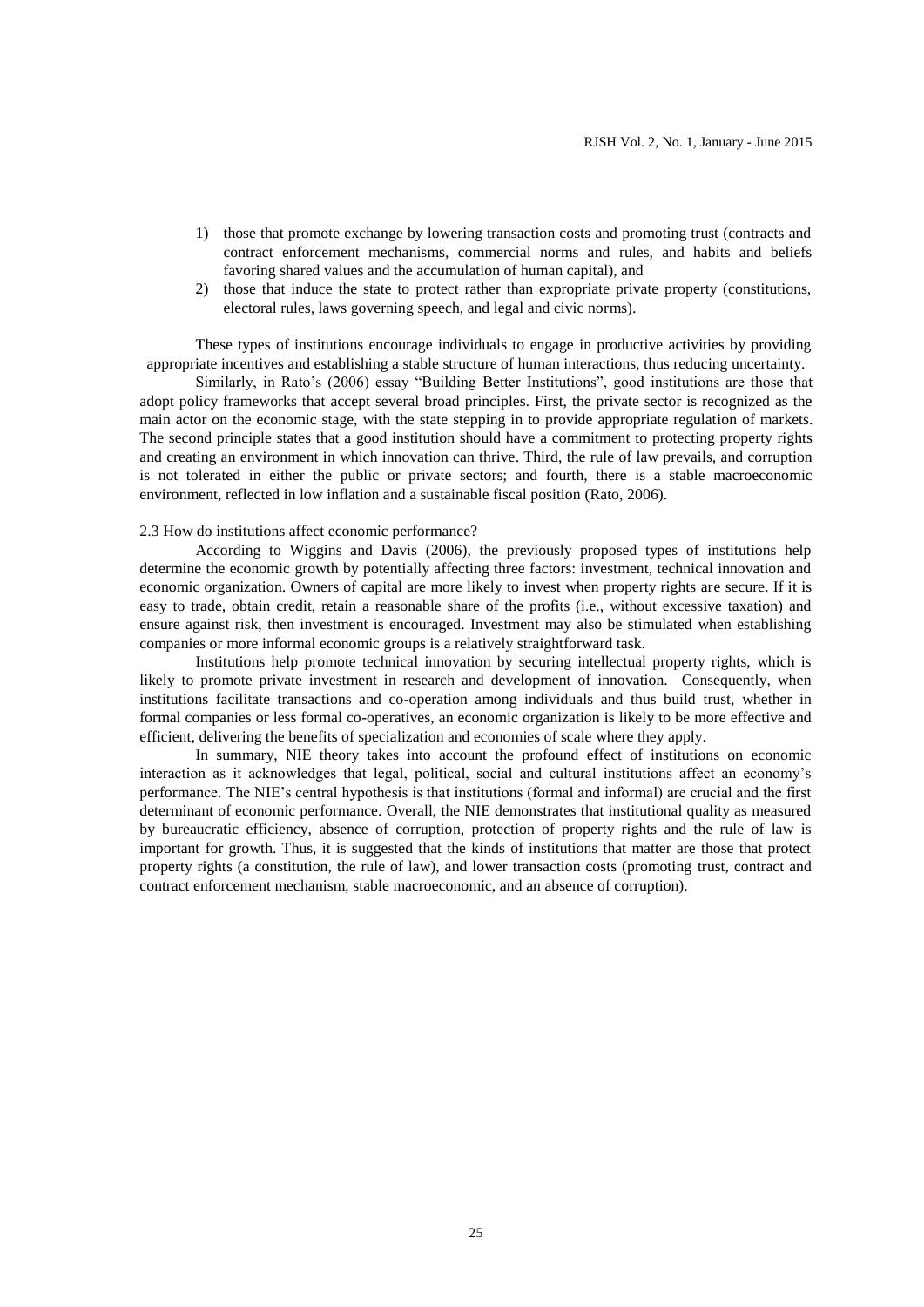- 1) those that promote exchange by lowering transaction costs and promoting trust (contracts and contract enforcement mechanisms, commercial norms and rules, and habits and beliefs favoring shared values and the accumulation of human capital), and
- 2) those that induce the state to protect rather than expropriate private property (constitutions, electoral rules, laws governing speech, and legal and civic norms).

These types of institutions encourage individuals to engage in productive activities by providing appropriate incentives and establishing a stable structure of human interactions, thus reducing uncertainty.

Similarly, in Rato's (2006) essay "Building Better Institutions", good institutions are those that adopt policy frameworks that accept several broad principles. First, the private sector is recognized as the main actor on the economic stage, with the state stepping in to provide appropriate regulation of markets. The second principle states that a good institution should have a commitment to protecting property rights and creating an environment in which innovation can thrive. Third, the rule of law prevails, and corruption is not tolerated in either the public or private sectors; and fourth, there is a stable macroeconomic environment, reflected in low inflation and a sustainable fiscal position (Rato, 2006).

### 2.3 How do institutions affect economic performance?

According to Wiggins and Davis (2006), the previously proposed types of institutions help determine the economic growth by potentially affecting three factors: investment, technical innovation and economic organization. Owners of capital are more likely to invest when property rights are secure. If it is easy to trade, obtain credit, retain a reasonable share of the profits (i.e., without excessive taxation) and ensure against risk, then investment is encouraged. Investment may also be stimulated when establishing companies or more informal economic groups is a relatively straightforward task.

Institutions help promote technical innovation by securing intellectual property rights, which is likely to promote private investment in research and development of innovation. Consequently, when institutions facilitate transactions and co-operation among individuals and thus build trust, whether in formal companies or less formal co-operatives, an economic organization is likely to be more effective and efficient, delivering the benefits of specialization and economies of scale where they apply.

In summary, NIE theory takes into account the profound effect of institutions on economic interaction as it acknowledges that legal, political, social and cultural institutions affect an economy's performance. The NIE's central hypothesis is that institutions (formal and informal) are crucial and the first determinant of economic performance. Overall, the NIE demonstrates that institutional quality as measured by bureaucratic efficiency, absence of corruption, protection of property rights and the rule of law is important for growth. Thus, it is suggested that the kinds of institutions that matter are those that protect property rights (a constitution, the rule of law), and lower transaction costs (promoting trust, contract and contract enforcement mechanism, stable macroeconomic, and an absence of corruption).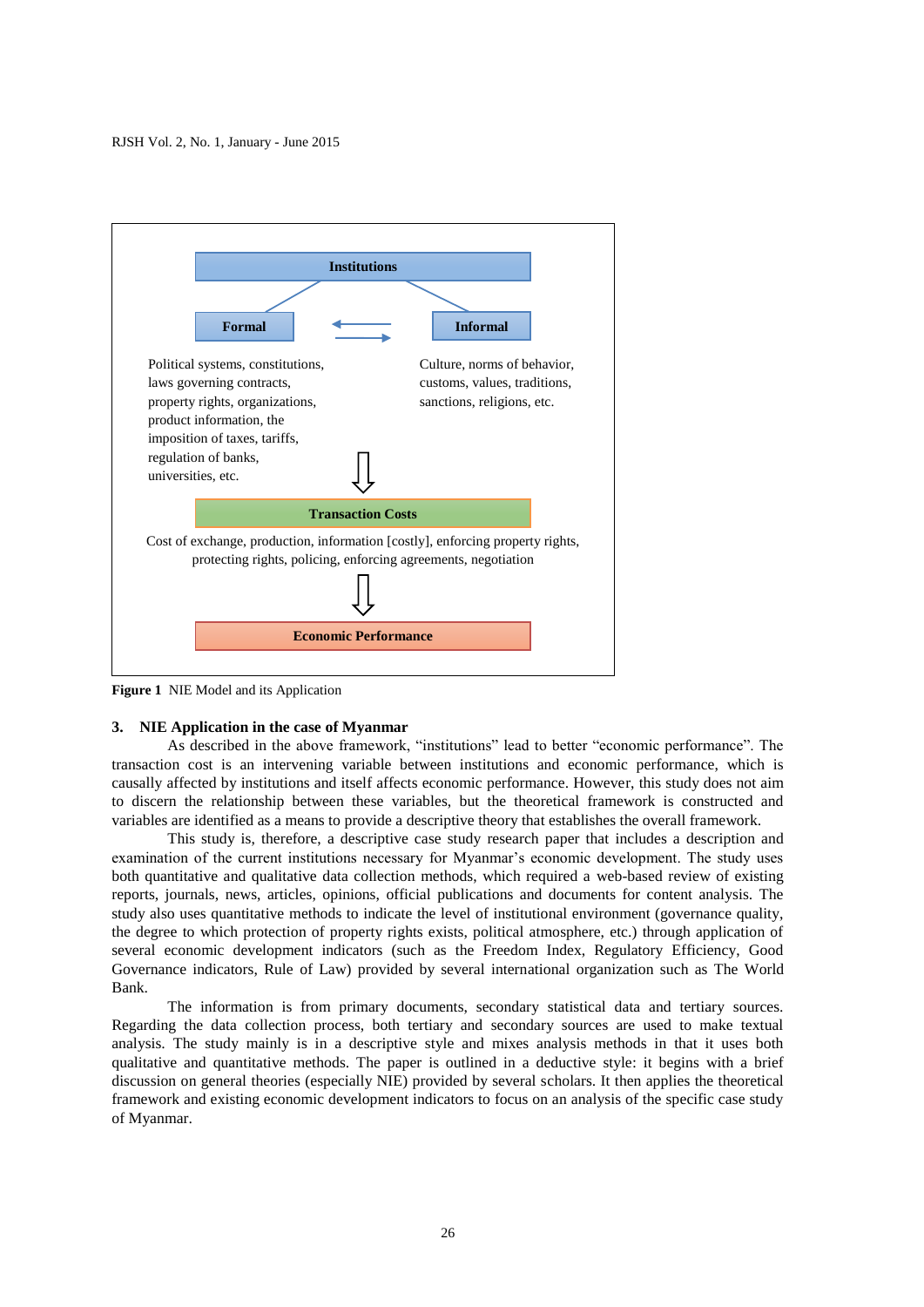

**Figure 1** NIE Model and its Application

### **3. NIE Application in the case of Myanmar**

As described in the above framework, "institutions" lead to better "economic performance". The transaction cost is an intervening variable between institutions and economic performance, which is causally affected by institutions and itself affects economic performance. However, this study does not aim to discern the relationship between these variables, but the theoretical framework is constructed and variables are identified as a means to provide a descriptive theory that establishes the overall framework.

This study is, therefore, a descriptive case study research paper that includes a description and examination of the current institutions necessary for Myanmar's economic development. The study uses both quantitative and qualitative data collection methods, which required a web-based review of existing reports, journals, news, articles, opinions, official publications and documents for content analysis. The study also uses quantitative methods to indicate the level of institutional environment (governance quality, the degree to which protection of property rights exists, political atmosphere, etc.) through application of several economic development indicators (such as the Freedom Index, Regulatory Efficiency, Good Governance indicators, Rule of Law) provided by several international organization such as The World Bank.

The information is from primary documents, secondary statistical data and tertiary sources. Regarding the data collection process, both tertiary and secondary sources are used to make textual analysis. The study mainly is in a descriptive style and mixes analysis methods in that it uses both qualitative and quantitative methods. The paper is outlined in a deductive style: it begins with a brief discussion on general theories (especially NIE) provided by several scholars. It then applies the theoretical framework and existing economic development indicators to focus on an analysis of the specific case study of Myanmar.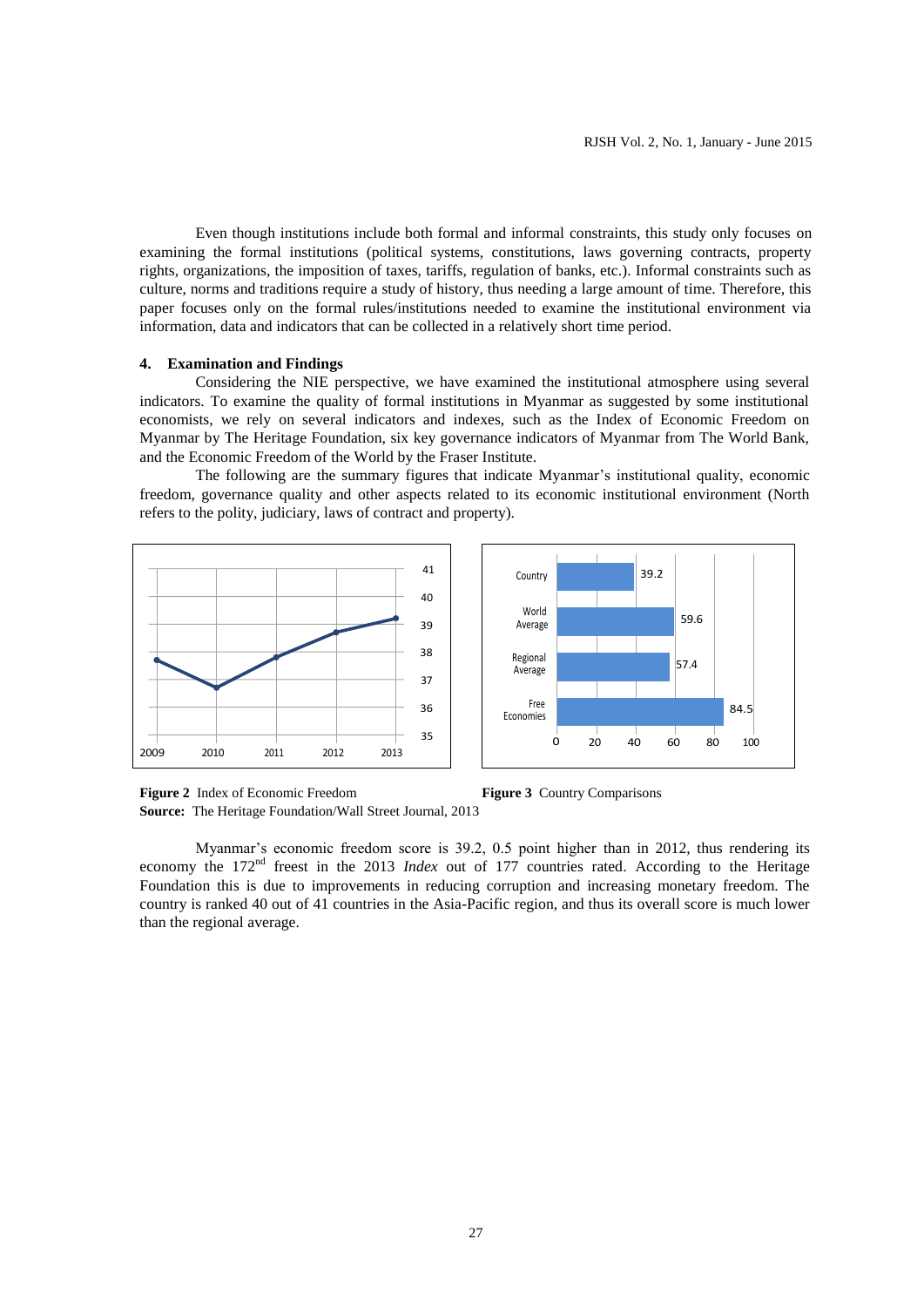Even though institutions include both formal and informal constraints, this study only focuses on examining the formal institutions (political systems, constitutions, laws governing contracts, property rights, organizations, the imposition of taxes, tariffs, regulation of banks, etc.). Informal constraints such as culture, norms and traditions require a study of history, thus needing a large amount of time. Therefore, this paper focuses only on the formal rules/institutions needed to examine the institutional environment via information, data and indicators that can be collected in a relatively short time period.

# **4. Examination and Findings**

Considering the NIE perspective, we have examined the institutional atmosphere using several indicators. To examine the quality of formal institutions in Myanmar as suggested by some institutional economists, we rely on several indicators and indexes, such as the Index of Economic Freedom on Myanmar by The Heritage Foundation, six key governance indicators of Myanmar from The World Bank, and the Economic Freedom of the World by the Fraser Institute.

The following are the summary figures that indicate Myanmar's institutional quality, economic freedom, governance quality and other aspects related to its economic institutional environment (North refers to the polity, judiciary, laws of contract and property).





**Figure 2** Index of Economic Freedom **Figure 3** Country Comparisons **Source:** The Heritage Foundation/Wall Street Journal, 2013

Myanmar's economic freedom score is 39.2, 0.5 point higher than in 2012, thus rendering its economy the 172<sup>nd</sup> freest in the 2013 *Index* out of 177 countries rated. According to the Heritage Foundation this is due to improvements in reducing corruption and increasing monetary freedom. The country is ranked 40 out of 41 countries in the Asia-Pacific region, and thus its overall score is much lower than the regional average.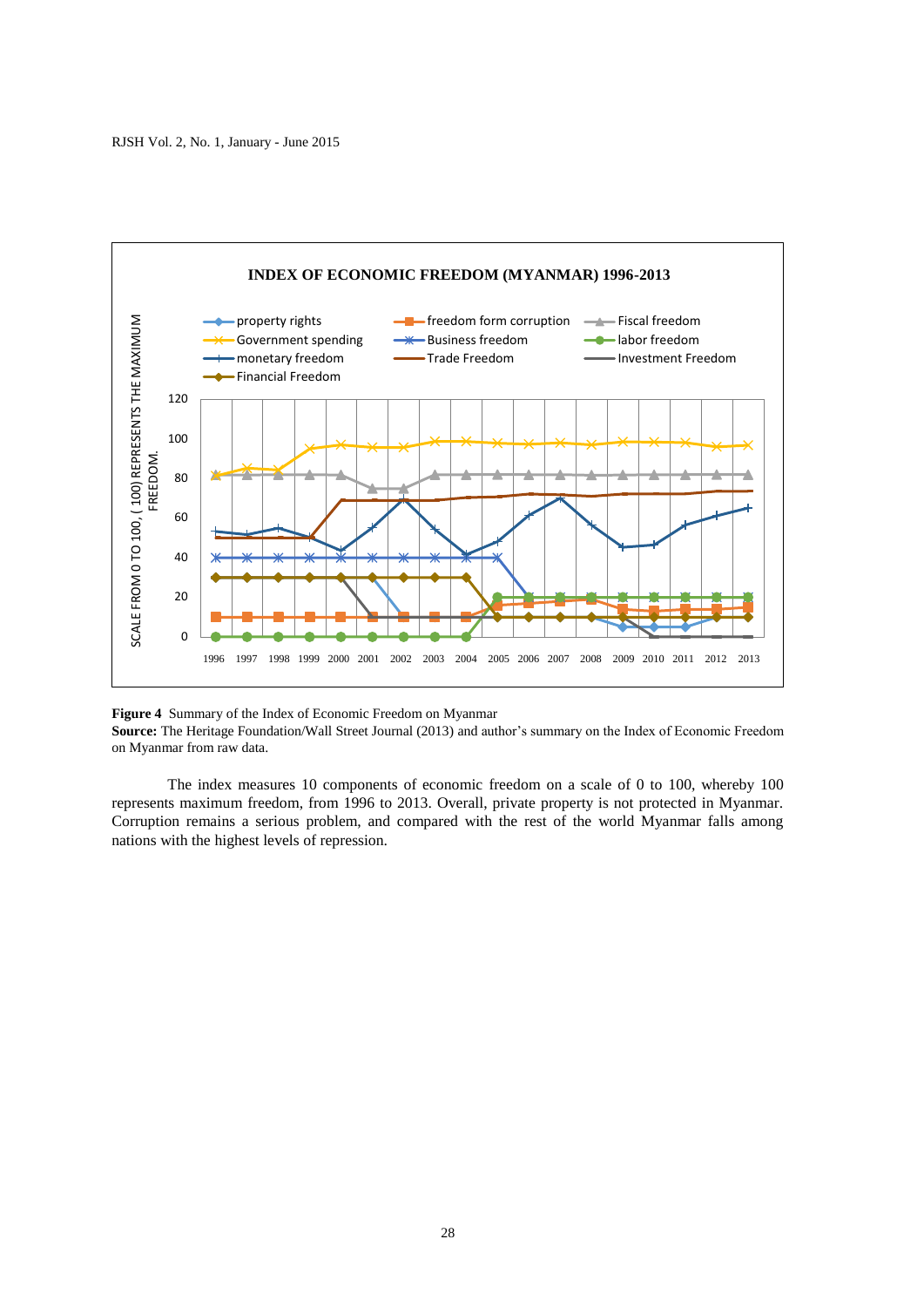

**Figure 4** Summary of the Index of Economic Freedom on Myanmar

**Source:** The Heritage Foundation/Wall Street Journal (2013) and author's summary on the Index of Economic Freedom on Myanmar from raw data.

The index measures 10 components of economic freedom on a scale of 0 to 100, whereby 100 represents maximum freedom, from 1996 to 2013. Overall, private property is not protected in Myanmar. Corruption remains a serious problem, and compared with the rest of the world Myanmar falls among nations with the highest levels of repression.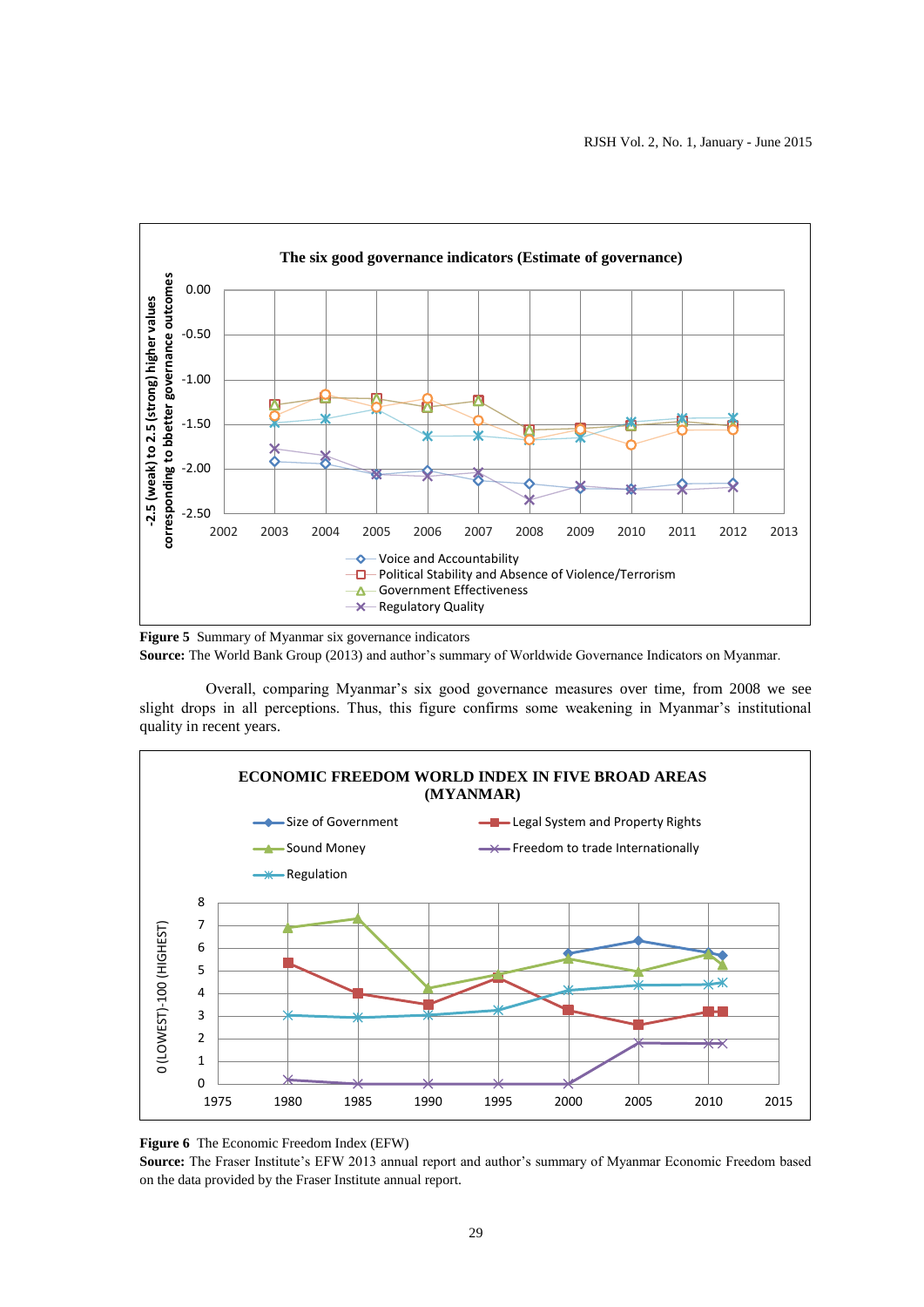

**Figure 5** Summary of Myanmar six governance indicators **Source:** The World Bank Group (2013) and author's summary of Worldwide Governance Indicators on Myanmar.

Overall, comparing Myanmar's six good governance measures over time, from 2008 we see slight drops in all perceptions. Thus, this figure confirms some weakening in Myanmar's institutional quality in recent years.



**Figure 6** The Economic Freedom Index (EFW)

**Source:** The Fraser Institute's EFW 2013 annual report and author's summary of Myanmar Economic Freedom based on the data provided by the Fraser Institute annual report.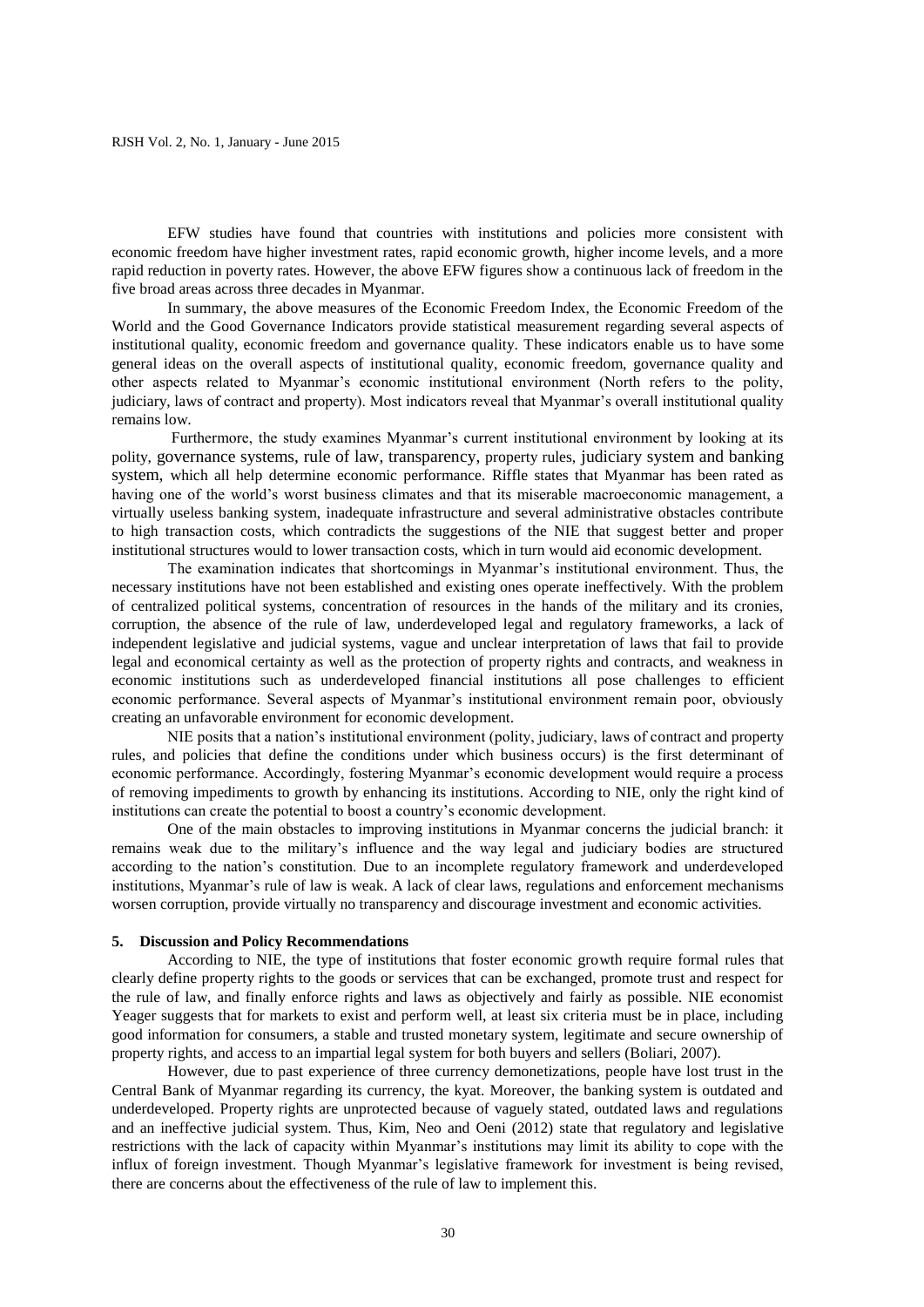EFW studies have found that countries with institutions and policies more consistent with economic freedom have higher investment rates, rapid economic growth, higher income levels, and a more rapid reduction in poverty rates. However, the above EFW figures show a continuous lack of freedom in the five broad areas across three decades in Myanmar.

In summary, the above measures of the Economic Freedom Index, the Economic Freedom of the World and the Good Governance Indicators provide statistical measurement regarding several aspects of institutional quality, economic freedom and governance quality. These indicators enable us to have some general ideas on the overall aspects of institutional quality, economic freedom, governance quality and other aspects related to Myanmar's economic institutional environment (North refers to the polity, judiciary, laws of contract and property). Most indicators reveal that Myanmar's overall institutional quality remains low.

Furthermore, the study examines Myanmar's current institutional environment by looking at its polity, governance systems, rule of law, transparency, property rules, judiciary system and banking system, which all help determine economic performance. Riffle states that Myanmar has been rated as having one of the world's worst business climates and that its miserable macroeconomic management, a virtually useless banking system, inadequate infrastructure and several administrative obstacles contribute to high transaction costs, which contradicts the suggestions of the NIE that suggest better and proper institutional structures would to lower transaction costs, which in turn would aid economic development.

The examination indicates that shortcomings in Myanmar's institutional environment. Thus, the necessary institutions have not been established and existing ones operate ineffectively. With the problem of centralized political systems, concentration of resources in the hands of the military and its cronies, corruption, the absence of the rule of law, underdeveloped legal and regulatory frameworks, a lack of independent legislative and judicial systems, vague and unclear interpretation of laws that fail to provide legal and economical certainty as well as the protection of property rights and contracts, and weakness in economic institutions such as underdeveloped financial institutions all pose challenges to efficient economic performance. Several aspects of Myanmar's institutional environment remain poor, obviously creating an unfavorable environment for economic development.

NIE posits that a nation's institutional environment (polity, judiciary, laws of contract and property rules, and policies that define the conditions under which business occurs) is the first determinant of economic performance. Accordingly, fostering Myanmar's economic development would require a process of removing impediments to growth by enhancing its institutions. According to NIE, only the right kind of institutions can create the potential to boost a country's economic development.

One of the main obstacles to improving institutions in Myanmar concerns the judicial branch: it remains weak due to the military's influence and the way legal and judiciary bodies are structured according to the nation's constitution. Due to an incomplete regulatory framework and underdeveloped institutions, Myanmar's rule of law is weak. A lack of clear laws, regulations and enforcement mechanisms worsen corruption, provide virtually no transparency and discourage investment and economic activities.

# **5. Discussion and Policy Recommendations**

According to NIE, the type of institutions that foster economic growth require formal rules that clearly define property rights to the goods or services that can be exchanged, promote trust and respect for the rule of law, and finally enforce rights and laws as objectively and fairly as possible. NIE economist Yeager suggests that for markets to exist and perform well, at least six criteria must be in place, including good information for consumers, a stable and trusted monetary system, legitimate and secure ownership of property rights, and access to an impartial legal system for both buyers and sellers (Boliari, 2007).

However, due to past experience of three currency demonetizations, people have lost trust in the Central Bank of Myanmar regarding its currency, the kyat. Moreover, the banking system is outdated and underdeveloped. Property rights are unprotected because of vaguely stated, outdated laws and regulations and an ineffective judicial system. Thus, Kim, Neo and Oeni (2012) state that regulatory and legislative restrictions with the lack of capacity within Myanmar's institutions may limit its ability to cope with the influx of foreign investment. Though Myanmar's legislative framework for investment is being revised, there are concerns about the effectiveness of the rule of law to implement this.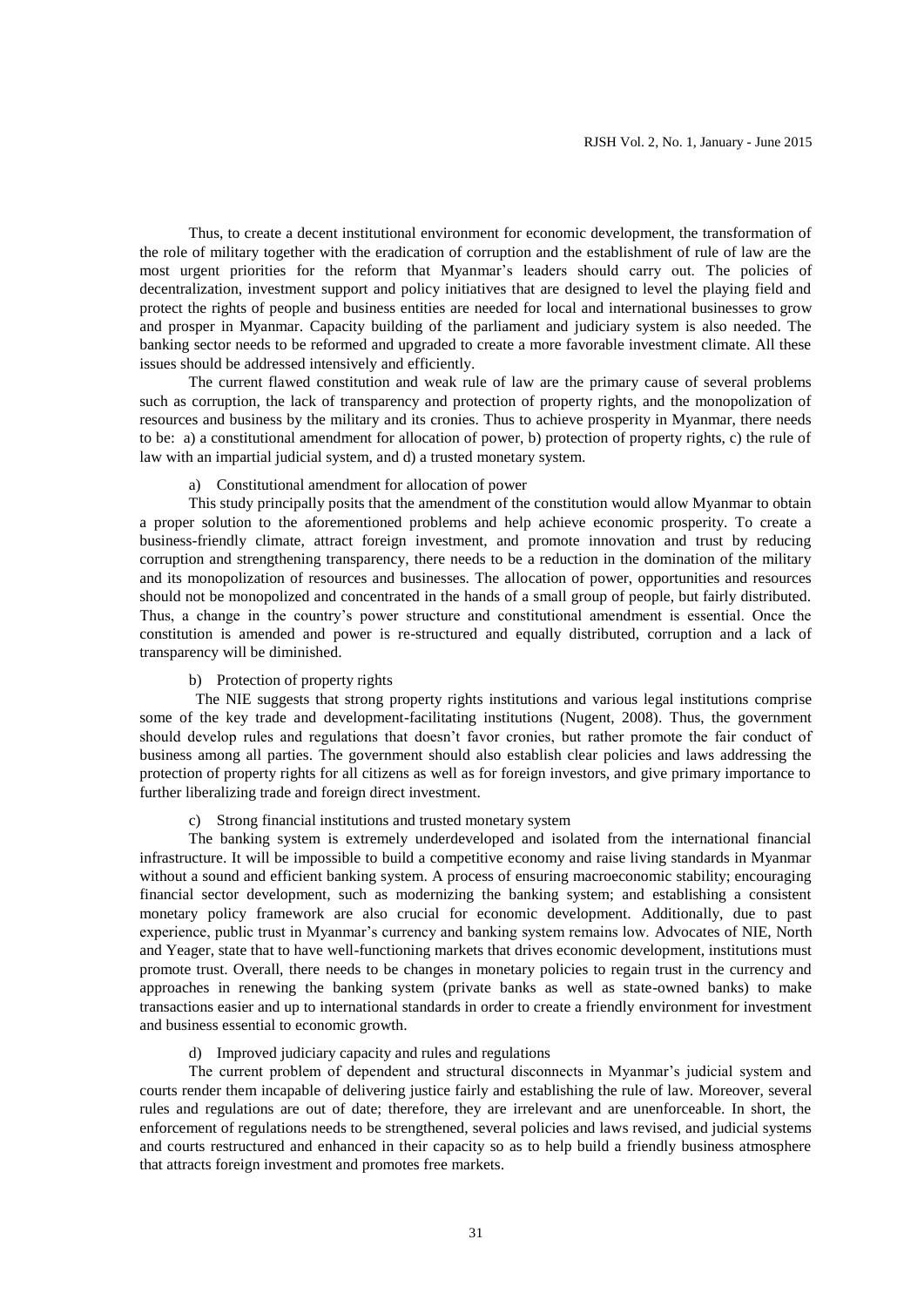Thus, to create a decent institutional environment for economic development, the transformation of the role of military together with the eradication of corruption and the establishment of rule of law are the most urgent priorities for the reform that Myanmar's leaders should carry out. The policies of decentralization, investment support and policy initiatives that are designed to level the playing field and protect the rights of people and business entities are needed for local and international businesses to grow and prosper in Myanmar. Capacity building of the parliament and judiciary system is also needed. The banking sector needs to be reformed and upgraded to create a more favorable investment climate. All these issues should be addressed intensively and efficiently.

The current flawed constitution and weak rule of law are the primary cause of several problems such as corruption, the lack of transparency and protection of property rights, and the monopolization of resources and business by the military and its cronies. Thus to achieve prosperity in Myanmar, there needs to be: a) a constitutional amendment for allocation of power, b) protection of property rights, c) the rule of law with an impartial judicial system, and d) a trusted monetary system.

# a) Constitutional amendment for allocation of power

This study principally posits that the amendment of the constitution would allow Myanmar to obtain a proper solution to the aforementioned problems and help achieve economic prosperity. To create a business-friendly climate, attract foreign investment, and promote innovation and trust by reducing corruption and strengthening transparency, there needs to be a reduction in the domination of the military and its monopolization of resources and businesses. The allocation of power, opportunities and resources should not be monopolized and concentrated in the hands of a small group of people, but fairly distributed. Thus, a change in the country's power structure and constitutional amendment is essential. Once the constitution is amended and power is re-structured and equally distributed, corruption and a lack of transparency will be diminished.

# b) Protection of property rights

The NIE suggests that strong property rights institutions and various legal institutions comprise some of the key trade and development-facilitating institutions (Nugent, 2008). Thus, the government should develop rules and regulations that doesn't favor cronies, but rather promote the fair conduct of business among all parties. The government should also establish clear policies and laws addressing the protection of property rights for all citizens as well as for foreign investors, and give primary importance to further liberalizing trade and foreign direct investment.

# c) Strong financial institutions and trusted monetary system

The banking system is extremely underdeveloped and isolated from the international financial infrastructure. It will be impossible to build a competitive economy and raise living standards in Myanmar without a sound and efficient banking system. A process of ensuring macroeconomic stability; encouraging financial sector development, such as modernizing the banking system; and establishing a consistent monetary policy framework are also crucial for economic development. Additionally, due to past experience, public trust in Myanmar's currency and banking system remains low. Advocates of NIE, North and Yeager, state that to have well-functioning markets that drives economic development, institutions must promote trust. Overall, there needs to be changes in monetary policies to regain trust in the currency and approaches in renewing the banking system (private banks as well as state-owned banks) to make transactions easier and up to international standards in order to create a friendly environment for investment and business essential to economic growth.

### d) Improved judiciary capacity and rules and regulations

The current problem of dependent and structural disconnects in Myanmar's judicial system and courts render them incapable of delivering justice fairly and establishing the rule of law. Moreover, several rules and regulations are out of date; therefore, they are irrelevant and are unenforceable. In short, the enforcement of regulations needs to be strengthened, several policies and laws revised, and judicial systems and courts restructured and enhanced in their capacity so as to help build a friendly business atmosphere that attracts foreign investment and promotes free markets.